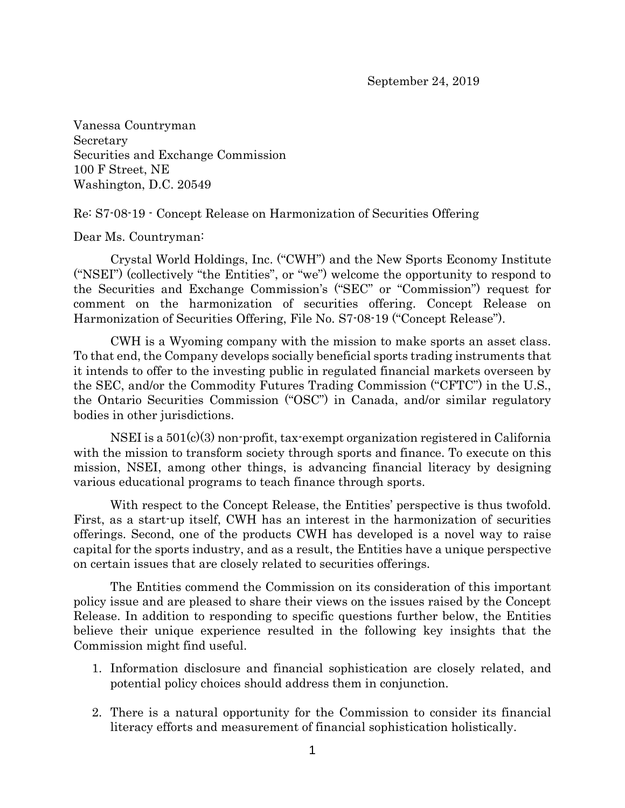Vanessa Countryman Secretary Securities and Exchange Commission 100 F Street, NE Washington, D.C. 20549

Re: S7-08-19 - Concept Release on Harmonization of Securities Offering

Dear Ms. Countryman:

Crystal World Holdings, Inc. ("CWH") and the New Sports Economy Institute ("NSEI") (collectively "the Entities", or "we") welcome the opportunity to respond to the Securities and Exchange Commission's ("SEC" or "Commission") request for comment on the harmonization of securities offering. Concept Release on Harmonization of Securities Offering, File No. S7-08-19 ("Concept Release").

CWH is a Wyoming company with the mission to make sports an asset class. To that end, the Company develops socially beneficial sports trading instruments that it intends to offer to the investing public in regulated financial markets overseen by the SEC, and/or the Commodity Futures Trading Commission ("CFTC") in the U.S., the Ontario Securities Commission ("OSC") in Canada, and/or similar regulatory bodies in other jurisdictions.

NSEI is a 501(c)(3) non-profit, tax-exempt organization registered in California with the mission to transform society through sports and finance. To execute on this mission, NSEI, among other things, is advancing financial literacy by designing various educational programs to teach finance through sports.

With respect to the Concept Release, the Entities' perspective is thus twofold. First, as a start-up itself, CWH has an interest in the harmonization of securities offerings. Second, one of the products CWH has developed is a novel way to raise capital for the sports industry, and as a result, the Entities have a unique perspective on certain issues that are closely related to securities offerings.

The Entities commend the Commission on its consideration of this important policy issue and are pleased to share their views on the issues raised by the Concept Release. In addition to responding to specific questions further below, the Entities believe their unique experience resulted in the following key insights that the Commission might find useful.

- 1. Information disclosure and financial sophistication are closely related, and potential policy choices should address them in conjunction.
- 2. There is a natural opportunity for the Commission to consider its financial literacy efforts and measurement of financial sophistication holistically.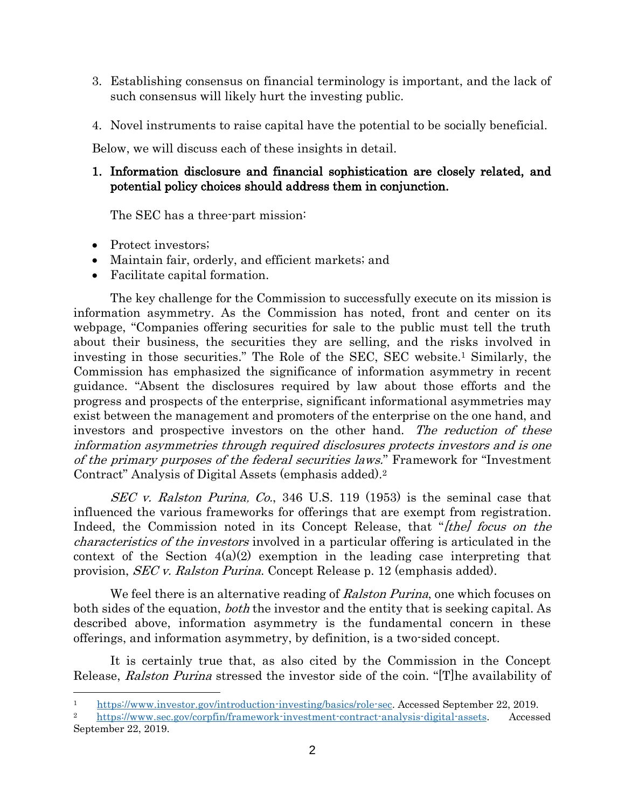- 3. Establishing consensus on financial terminology is important, and the lack of such consensus will likely hurt the investing public.
- 4. Novel instruments to raise capital have the potential to be socially beneficial.

Below, we will discuss each of these insights in detail.

## 1. Information disclosure and financial sophistication are closely related, and potential policy choices should address them in conjunction.

The SEC has a three-part mission:

- Protect investors;
- Maintain fair, orderly, and efficient markets; and
- Facilitate capital formation.

The key challenge for the Commission to successfully execute on its mission is information asymmetry. As the Commission has noted, front and center on its webpage, "Companies offering securities for sale to the public must tell the truth about their business, the securities they are selling, and the risks involved in investing in those securities." The Role of the SEC, SEC website. <sup>1</sup> Similarly, the Commission has emphasized the significance of information asymmetry in recent guidance. "Absent the disclosures required by law about those efforts and the progress and prospects of the enterprise, significant informational asymmetries may exist between the management and promoters of the enterprise on the one hand, and investors and prospective investors on the other hand. The reduction of these information asymmetries through required disclosures protects investors and is one of the primary purposes of the federal securities laws." Framework for "Investment Contract" Analysis of Digital Assets (emphasis added). 2

SEC v. Ralston Purina, Co., 346 U.S. 119 (1953) is the seminal case that influenced the various frameworks for offerings that are exempt from registration. Indeed, the Commission noted in its Concept Release, that "[the] focus on the characteristics of the investors involved in a particular offering is articulated in the context of the Section  $4(a)(2)$  exemption in the leading case interpreting that provision, SEC v. Ralston Purina. Concept Release p. 12 (emphasis added).

We feel there is an alternative reading of *Ralston Purina*, one which focuses on both sides of the equation, *both* the investor and the entity that is seeking capital. As described above, information asymmetry is the fundamental concern in these offerings, and information asymmetry, by definition, is a two-sided concept.

It is certainly true that, as also cited by the Commission in the Concept Release, Ralston Purina stressed the investor side of the coin. "[T] he availability of

<sup>1</sup> [https://www.investor.gov/introduction-investing/basics/role-sec.](https://www.investor.gov/introduction-investing/basics/role-sec) Accessed September 22, 2019.

<sup>2</sup> [https://www.sec.gov/corpfin/framework-investment-contract-analysis-digital-assets.](https://www.sec.gov/corpfin/framework-investment-contract-analysis-digital-assets) Accessed September 22, 2019.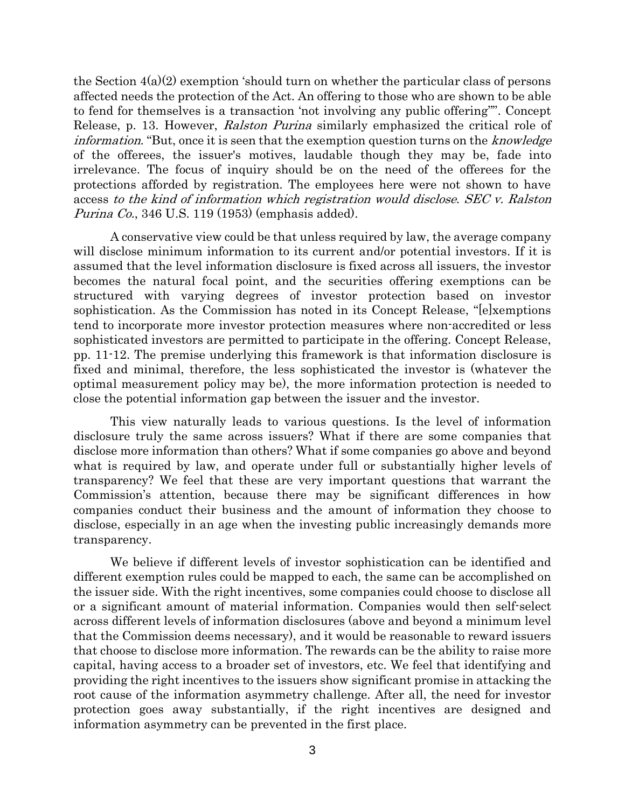the Section 4(a)(2) exemption 'should turn on whether the particular class of persons affected needs the protection of the Act. An offering to those who are shown to be able to fend for themselves is a transaction 'not involving any public offering''". Concept Release, p. 13. However, Ralston Purina similarly emphasized the critical role of information. "But, once it is seen that the exemption question turns on the *knowledge* of the offerees, the issuer's motives, laudable though they may be, fade into irrelevance. The focus of inquiry should be on the need of the offerees for the protections afforded by registration. The employees here were not shown to have access to the kind of information which registration would disclose. SEC v. Ralston *Purina Co.*, 346 U.S. 119 (1953) (emphasis added).

A conservative view could be that unless required by law, the average company will disclose minimum information to its current and/or potential investors. If it is assumed that the level information disclosure is fixed across all issuers, the investor becomes the natural focal point, and the securities offering exemptions can be structured with varying degrees of investor protection based on investor sophistication. As the Commission has noted in its Concept Release, "[e]xemptions tend to incorporate more investor protection measures where non-accredited or less sophisticated investors are permitted to participate in the offering. Concept Release, pp. 11-12. The premise underlying this framework is that information disclosure is fixed and minimal, therefore, the less sophisticated the investor is (whatever the optimal measurement policy may be), the more information protection is needed to close the potential information gap between the issuer and the investor.

This view naturally leads to various questions. Is the level of information disclosure truly the same across issuers? What if there are some companies that disclose more information than others? What if some companies go above and beyond what is required by law, and operate under full or substantially higher levels of transparency? We feel that these are very important questions that warrant the Commission's attention, because there may be significant differences in how companies conduct their business and the amount of information they choose to disclose, especially in an age when the investing public increasingly demands more transparency.

We believe if different levels of investor sophistication can be identified and different exemption rules could be mapped to each, the same can be accomplished on the issuer side. With the right incentives, some companies could choose to disclose all or a significant amount of material information. Companies would then self-select across different levels of information disclosures (above and beyond a minimum level that the Commission deems necessary), and it would be reasonable to reward issuers that choose to disclose more information. The rewards can be the ability to raise more capital, having access to a broader set of investors, etc. We feel that identifying and providing the right incentives to the issuers show significant promise in attacking the root cause of the information asymmetry challenge. After all, the need for investor protection goes away substantially, if the right incentives are designed and information asymmetry can be prevented in the first place.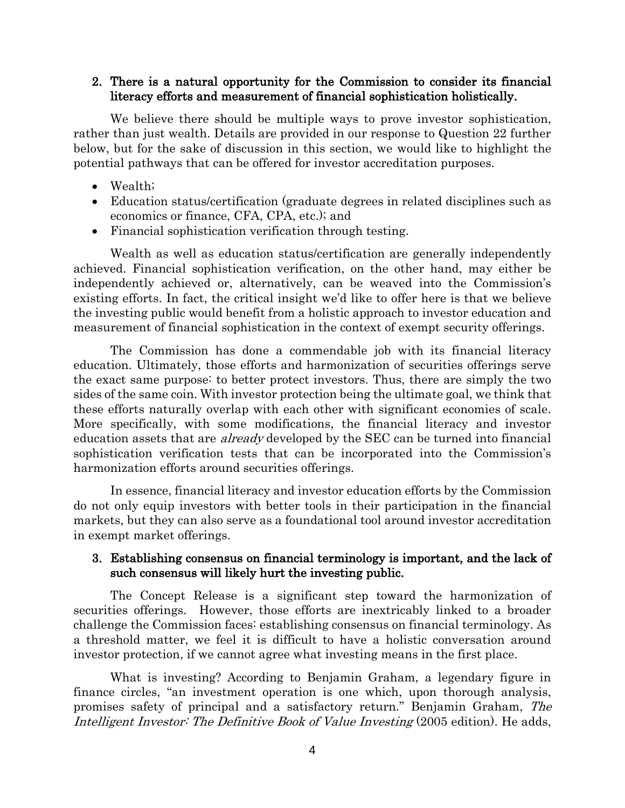#### 2. There is a natural opportunity for the Commission to consider its financial literacy efforts and measurement of financial sophistication holistically.

We believe there should be multiple ways to prove investor sophistication, rather than just wealth. Details are provided in our response to Question 22 further below, but for the sake of discussion in this section, we would like to highlight the potential pathways that can be offered for investor accreditation purposes.

- Wealth;
- Education status/certification (graduate degrees in related disciplines such as economics or finance, CFA, CPA, etc.); and
- Financial sophistication verification through testing.

Wealth as well as education status/certification are generally independently achieved. Financial sophistication verification, on the other hand, may either be independently achieved or, alternatively, can be weaved into the Commission's existing efforts. In fact, the critical insight we'd like to offer here is that we believe the investing public would benefit from a holistic approach to investor education and measurement of financial sophistication in the context of exempt security offerings.

The Commission has done a commendable job with its financial literacy education. Ultimately, those efforts and harmonization of securities offerings serve the exact same purpose: to better protect investors. Thus, there are simply the two sides of the same coin. With investor protection being the ultimate goal, we think that these efforts naturally overlap with each other with significant economies of scale. More specifically, with some modifications, the financial literacy and investor education assets that are *already* developed by the SEC can be turned into financial sophistication verification tests that can be incorporated into the Commission's harmonization efforts around securities offerings.

In essence, financial literacy and investor education efforts by the Commission do not only equip investors with better tools in their participation in the financial markets, but they can also serve as a foundational tool around investor accreditation in exempt market offerings.

## 3. Establishing consensus on financial terminology is important, and the lack of such consensus will likely hurt the investing public.

The Concept Release is a significant step toward the harmonization of securities offerings. However, those efforts are inextricably linked to a broader challenge the Commission faces: establishing consensus on financial terminology. As a threshold matter, we feel it is difficult to have a holistic conversation around investor protection, if we cannot agree what investing means in the first place.

What is investing? According to Benjamin Graham, a legendary figure in finance circles, "an investment operation is one which, upon thorough analysis, promises safety of principal and a satisfactory return." Benjamin Graham, The Intelligent Investor: The Definitive Book of Value Investing (2005 edition). He adds,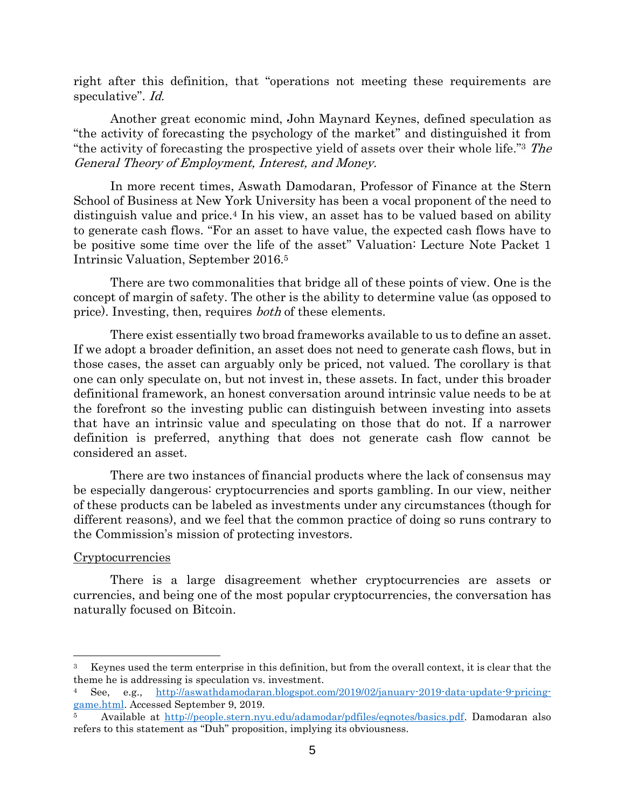right after this definition, that "operations not meeting these requirements are speculative". *Id.* 

Another great economic mind, John Maynard Keynes, defined speculation as "the activity of forecasting the psychology of the market" and distinguished it from "the activity of forecasting the prospective yield of assets over their whole life." 3 The General Theory of Employment, Interest, and Money.

In more recent times, Aswath Damodaran, Professor of Finance at the Stern School of Business at New York University has been a vocal proponent of the need to distinguish value and price.<sup>4</sup> In his view, an asset has to be valued based on ability to generate cash flows. "For an asset to have value, the expected cash flows have to be positive some time over the life of the asset" Valuation: Lecture Note Packet 1 Intrinsic Valuation, September 2016.<sup>5</sup>

There are two commonalities that bridge all of these points of view. One is the concept of margin of safety. The other is the ability to determine value (as opposed to price). Investing, then, requires *both* of these elements.

There exist essentially two broad frameworks available to us to define an asset. If we adopt a broader definition, an asset does not need to generate cash flows, but in those cases, the asset can arguably only be priced, not valued. The corollary is that one can only speculate on, but not invest in, these assets. In fact, under this broader definitional framework, an honest conversation around intrinsic value needs to be at the forefront so the investing public can distinguish between investing into assets that have an intrinsic value and speculating on those that do not. If a narrower definition is preferred, anything that does not generate cash flow cannot be considered an asset.

There are two instances of financial products where the lack of consensus may be especially dangerous: cryptocurrencies and sports gambling. In our view, neither of these products can be labeled as investments under any circumstances (though for different reasons), and we feel that the common practice of doing so runs contrary to the Commission's mission of protecting investors.

#### Cryptocurrencies

There is a large disagreement whether cryptocurrencies are assets or currencies, and being one of the most popular cryptocurrencies, the conversation has naturally focused on Bitcoin.

<sup>3</sup> Keynes used the term enterprise in this definition, but from the overall context, it is clear that the theme he is addressing is speculation vs. investment.

<sup>4</sup> See, e.g., [http://aswathdamodaran.blogspot.com/2019/02/january-2019-data-update-9-pricing](http://aswathdamodaran.blogspot.com/2019/02/january-2019-data-update-9-pricing-game.html)[game.html.](http://aswathdamodaran.blogspot.com/2019/02/january-2019-data-update-9-pricing-game.html) Accessed September 9, 2019.

<sup>5</sup> Available at [http://people.stern.nyu.edu/adamodar/pdfiles/eqnotes/basics.pdf.](http://people.stern.nyu.edu/adamodar/pdfiles/eqnotes/basics.pdf) Damodaran also refers to this statement as "Duh" proposition, implying its obviousness.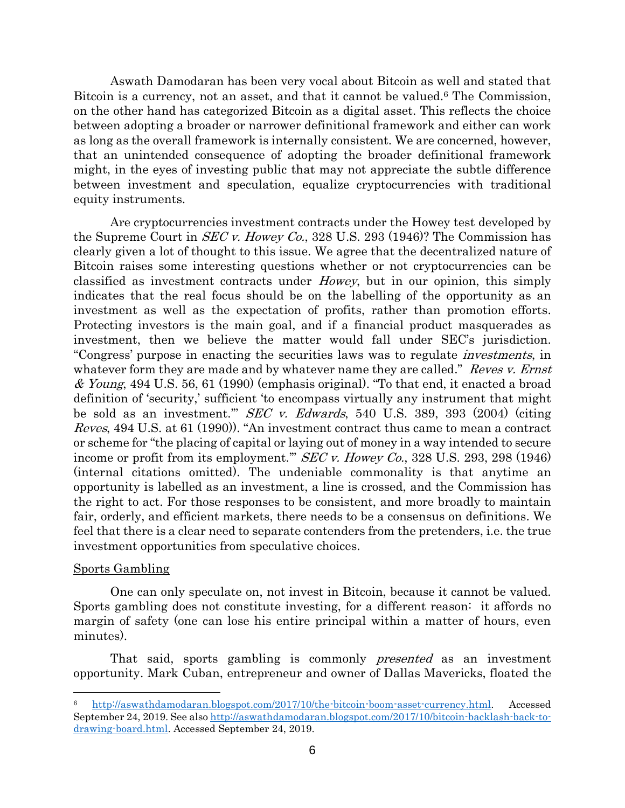Aswath Damodaran has been very vocal about Bitcoin as well and stated that Bitcoin is a currency, not an asset, and that it cannot be valued.<sup>6</sup> The Commission, on the other hand has categorized Bitcoin as a digital asset. This reflects the choice between adopting a broader or narrower definitional framework and either can work as long as the overall framework is internally consistent. We are concerned, however, that an unintended consequence of adopting the broader definitional framework might, in the eyes of investing public that may not appreciate the subtle difference between investment and speculation, equalize cryptocurrencies with traditional equity instruments.

Are cryptocurrencies investment contracts under the Howey test developed by the Supreme Court in *SEC v. Howey Co.*, 328 U.S. 293 (1946)? The Commission has clearly given a lot of thought to this issue. We agree that the decentralized nature of Bitcoin raises some interesting questions whether or not cryptocurrencies can be classified as investment contracts under Howey, but in our opinion, this simply indicates that the real focus should be on the labelling of the opportunity as an investment as well as the expectation of profits, rather than promotion efforts. Protecting investors is the main goal, and if a financial product masquerades as investment, then we believe the matter would fall under SEC's jurisdiction. "Congress' purpose in enacting the securities laws was to regulate investments, in whatever form they are made and by whatever name they are called." Reves v. Ernst  $&$  Young, 494 U.S. 56, 61 (1990) (emphasis original). "To that end, it enacted a broad definition of 'security,' sufficient 'to encompass virtually any instrument that might be sold as an investment.'" SEC v. Edwards, 540 U.S. 389, 393 (2004) (citing Reves, 494 U.S. at 61 (1990)). "An investment contract thus came to mean a contract or scheme for "the placing of capital or laying out of money in a way intended to secure income or profit from its employment." SEC v. Howey Co., 328 U.S. 293, 298 (1946) (internal citations omitted). The undeniable commonality is that anytime an opportunity is labelled as an investment, a line is crossed, and the Commission has the right to act. For those responses to be consistent, and more broadly to maintain fair, orderly, and efficient markets, there needs to be a consensus on definitions. We feel that there is a clear need to separate contenders from the pretenders, i.e. the true investment opportunities from speculative choices.

#### Sports Gambling

One can only speculate on, not invest in Bitcoin, because it cannot be valued. Sports gambling does not constitute investing, for a different reason: it affords no margin of safety (one can lose his entire principal within a matter of hours, even minutes).

That said, sports gambling is commonly presented as an investment opportunity. Mark Cuban, entrepreneur and owner of Dallas Mavericks, floated the

<sup>6</sup> [http://aswathdamodaran.blogspot.com/2017/10/the-bitcoin-boom-asset-currency.html.](http://aswathdamodaran.blogspot.com/2017/10/the-bitcoin-boom-asset-currency.html) Accessed September 24, 2019. See also [http://aswathdamodaran.blogspot.com/2017/10/bitcoin-backlash-back-to](http://aswathdamodaran.blogspot.com/2017/10/bitcoin-backlash-back-to-drawing-board.html)[drawing-board.html.](http://aswathdamodaran.blogspot.com/2017/10/bitcoin-backlash-back-to-drawing-board.html) Accessed September 24, 2019.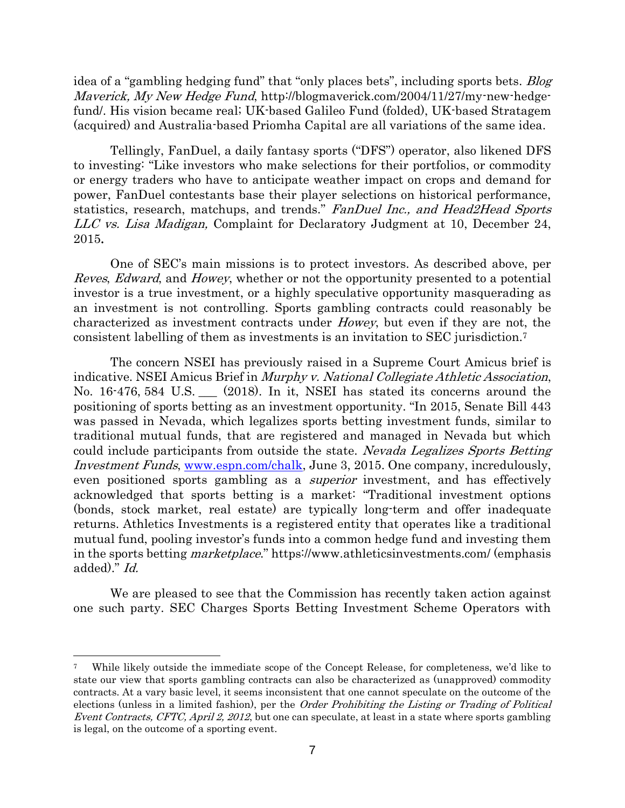idea of a "gambling hedging fund" that "only places bets", including sports bets. *Blog* Maverick, My New Hedge Fund, http://blogmaverick.com/2004/11/27/my-new-hedgefund/. His vision became real; UK-based Galileo Fund (folded), UK-based Stratagem (acquired) and Australia-based Priomha Capital are all variations of the same idea.

Tellingly, FanDuel, a daily fantasy sports ("DFS") operator, also likened DFS to investing: "Like investors who make selections for their portfolios, or commodity or energy traders who have to anticipate weather impact on crops and demand for power, FanDuel contestants base their player selections on historical performance, statistics, research, matchups, and trends." FanDuel Inc., and Head2Head Sports LLC vs. Lisa Madigan, Complaint for Declaratory Judgment at 10, December 24, 2015.

One of SEC's main missions is to protect investors. As described above, per Reves, Edward, and Howey, whether or not the opportunity presented to a potential investor is a true investment, or a highly speculative opportunity masquerading as an investment is not controlling. Sports gambling contracts could reasonably be characterized as investment contracts under Howey, but even if they are not, the consistent labelling of them as investments is an invitation to SEC jurisdiction.<sup>7</sup>

The concern NSEI has previously raised in a Supreme Court Amicus brief is indicative. NSEI Amicus Brief in Murphy v. National Collegiate Athletic Association, No. 16-476, 584 U.S. \_\_\_ (2018). In it, NSEI has stated its concerns around the positioning of sports betting as an investment opportunity. "In 2015, Senate Bill 443 was passed in Nevada, which legalizes sports betting investment funds, similar to traditional mutual funds, that are registered and managed in Nevada but which could include participants from outside the state. Nevada Legalizes Sports Betting Investment Funds, [www.espn.com/chalk,](http://www.espn.com/chalk) June 3, 2015. One company, incredulously, even positioned sports gambling as a *superior* investment, and has effectively acknowledged that sports betting is a market: "Traditional investment options (bonds, stock market, real estate) are typically long-term and offer inadequate returns. Athletics Investments is a registered entity that operates like a traditional mutual fund, pooling investor's funds into a common hedge fund and investing them in the sports betting marketplace." <https://www.athleticsinvestments.com/> (emphasis added)." Id.

We are pleased to see that the Commission has recently taken action against one such party. SEC Charges Sports Betting Investment Scheme Operators with

While likely outside the immediate scope of the Concept Release, for completeness, we'd like to state our view that sports gambling contracts can also be characterized as (unapproved) commodity contracts. At a vary basic level, it seems inconsistent that one cannot speculate on the outcome of the elections (unless in a limited fashion), per the Order Prohibiting the Listing or Trading of Political Event Contracts, CFTC, April 2, 2012, but one can speculate, at least in a state where sports gambling is legal, on the outcome of a sporting event.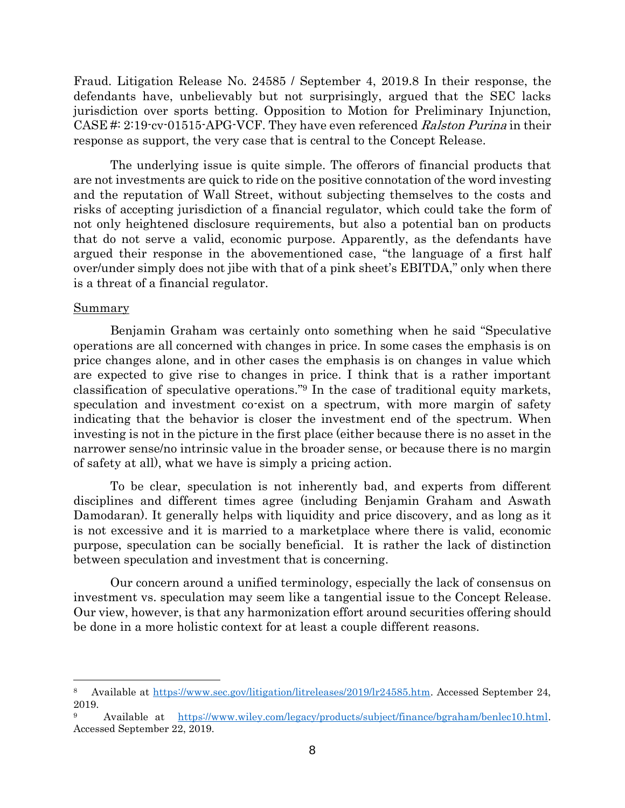Fraud. Litigation Release No. 24585 / September 4, 2019.8 In their response, the defendants have, unbelievably but not surprisingly, argued that the SEC lacks jurisdiction over sports betting. Opposition to Motion for Preliminary Injunction, CASE #: 2:19-cv-01515-APG-VCF. They have even referenced Ralston Purina in their response as support, the very case that is central to the Concept Release.

The underlying issue is quite simple. The offerors of financial products that are not investments are quick to ride on the positive connotation of the word investing and the reputation of Wall Street, without subjecting themselves to the costs and risks of accepting jurisdiction of a financial regulator, which could take the form of not only heightened disclosure requirements, but also a potential ban on products that do not serve a valid, economic purpose. Apparently, as the defendants have argued their response in the abovementioned case, "the language of a first half over/under simply does not jibe with that of a pink sheet's EBITDA," only when there is a threat of a financial regulator.

#### **Summary**

Benjamin Graham was certainly onto something when he said "Speculative operations are all concerned with changes in price. In some cases the emphasis is on price changes alone, and in other cases the emphasis is on changes in value which are expected to give rise to changes in price. I think that is a rather important classification of speculative operations." <sup>9</sup> In the case of traditional equity markets, speculation and investment co-exist on a spectrum, with more margin of safety indicating that the behavior is closer the investment end of the spectrum. When investing is not in the picture in the first place (either because there is no asset in the narrower sense/no intrinsic value in the broader sense, or because there is no margin of safety at all), what we have is simply a pricing action.

To be clear, speculation is not inherently bad, and experts from different disciplines and different times agree (including Benjamin Graham and Aswath Damodaran). It generally helps with liquidity and price discovery, and as long as it is not excessive and it is married to a marketplace where there is valid, economic purpose, speculation can be socially beneficial. It is rather the lack of distinction between speculation and investment that is concerning.

Our concern around a unified terminology, especially the lack of consensus on investment vs. speculation may seem like a tangential issue to the Concept Release. Our view, however, is that any harmonization effort around securities offering should be done in a more holistic context for at least a couple different reasons.

<sup>8</sup> Available at [https://www.sec.gov/litigation/litreleases/2019/lr24585.htm.](https://www.sec.gov/litigation/litreleases/2019/lr24585.htm) Accessed September 24, 2019.

Available at [https://www.wiley.com/legacy/products/subject/finance/bgraham/benlec10.html.](https://www.wiley.com/legacy/products/subject/finance/bgraham/benlec10.html) Accessed September 22, 2019.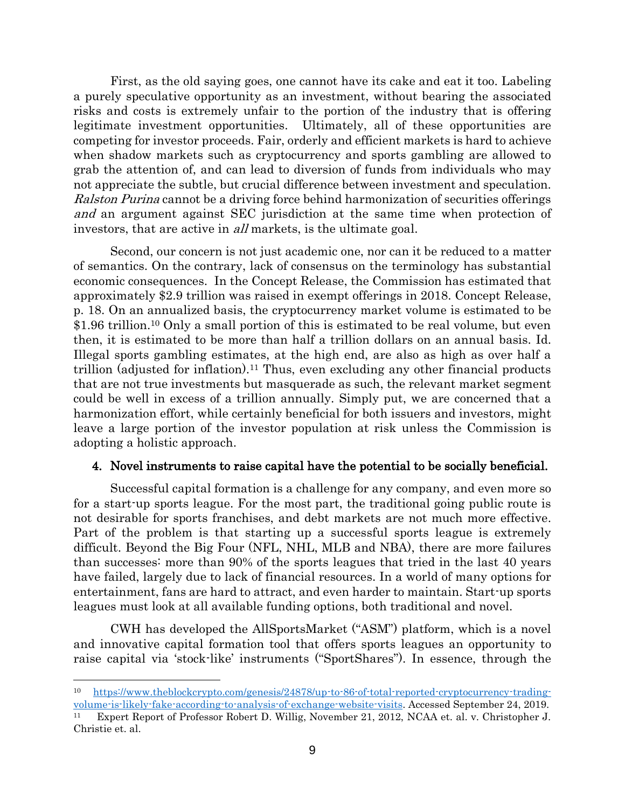First, as the old saying goes, one cannot have its cake and eat it too. Labeling a purely speculative opportunity as an investment, without bearing the associated risks and costs is extremely unfair to the portion of the industry that is offering legitimate investment opportunities. Ultimately, all of these opportunities are competing for investor proceeds. Fair, orderly and efficient markets is hard to achieve when shadow markets such as cryptocurrency and sports gambling are allowed to grab the attention of, and can lead to diversion of funds from individuals who may not appreciate the subtle, but crucial difference between investment and speculation. Ralston Purina cannot be a driving force behind harmonization of securities offerings and an argument against SEC jurisdiction at the same time when protection of investors, that are active in *all* markets, is the ultimate goal.

Second, our concern is not just academic one, nor can it be reduced to a matter of semantics. On the contrary, lack of consensus on the terminology has substantial economic consequences. In the Concept Release, the Commission has estimated that approximately \$2.9 trillion was raised in exempt offerings in 2018. Concept Release, p. 18. On an annualized basis, the cryptocurrency market volume is estimated to be \$1.96 trillion.<sup>10</sup> Only a small portion of this is estimated to be real volume, but even then, it is estimated to be more than half a trillion dollars on an annual basis. Id. Illegal sports gambling estimates, at the high end, are also as high as over half a trillion (adjusted for inflation).<sup>11</sup> Thus, even excluding any other financial products that are not true investments but masquerade as such, the relevant market segment could be well in excess of a trillion annually. Simply put, we are concerned that a harmonization effort, while certainly beneficial for both issuers and investors, might leave a large portion of the investor population at risk unless the Commission is adopting a holistic approach.

## 4. Novel instruments to raise capital have the potential to be socially beneficial.

Successful capital formation is a challenge for any company, and even more so for a start-up sports league. For the most part, the traditional going public route is not desirable for sports franchises, and debt markets are not much more effective. Part of the problem is that starting up a successful sports league is extremely difficult. Beyond the Big Four (NFL, NHL, MLB and NBA), there are more failures than successes: more than 90% of the sports leagues that tried in the last 40 years have failed, largely due to lack of financial resources. In a world of many options for entertainment, fans are hard to attract, and even harder to maintain. Start-up sports leagues must look at all available funding options, both traditional and novel.

CWH has developed the AllSportsMarket ("ASM") platform, which is a novel and innovative capital formation tool that offers sports leagues an opportunity to raise capital via 'stock-like' instruments ("SportShares"). In essence, through the

<sup>10</sup> [https://www.theblockcrypto.com/genesis/24878/up-to-86-of-total-reported-cryptocurrency-trading](https://www.theblockcrypto.com/genesis/24878/up-to-86-of-total-reported-cryptocurrency-trading-volume-is-likely-fake-according-to-analysis-of-exchange-website-visits)[volume-is-likely-fake-according-to-analysis-of-exchange-website-visits.](https://www.theblockcrypto.com/genesis/24878/up-to-86-of-total-reported-cryptocurrency-trading-volume-is-likely-fake-according-to-analysis-of-exchange-website-visits) Accessed September 24, 2019.

<sup>11</sup> Expert Report of Professor Robert D. Willig, November 21, 2012, NCAA et. al. v. Christopher J. Christie et. al.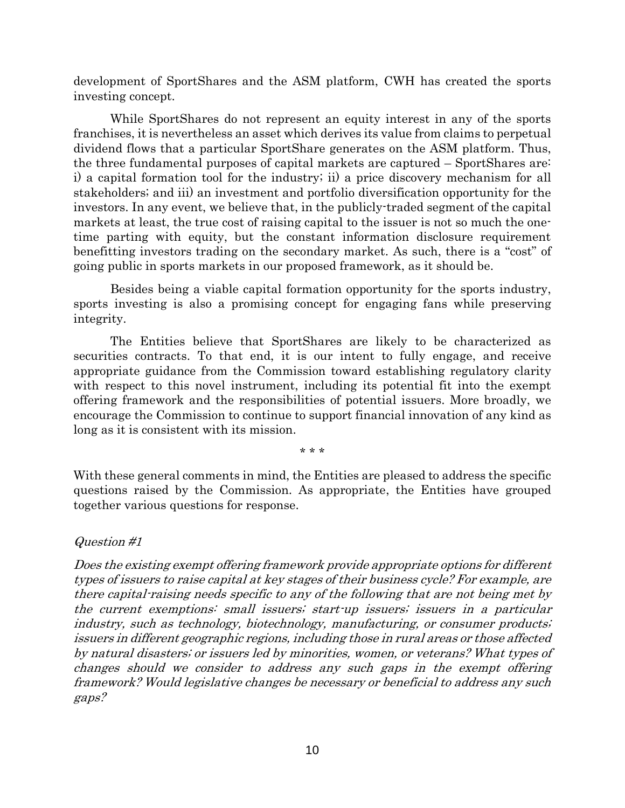development of SportShares and the ASM platform, CWH has created the sports investing concept.

While SportShares do not represent an equity interest in any of the sports franchises, it is nevertheless an asset which derives its value from claims to perpetual dividend flows that a particular SportShare generates on the ASM platform. Thus, the three fundamental purposes of capital markets are captured – SportShares are: i) a capital formation tool for the industry; ii) a price discovery mechanism for all stakeholders; and iii) an investment and portfolio diversification opportunity for the investors. In any event, we believe that, in the publicly-traded segment of the capital markets at least, the true cost of raising capital to the issuer is not so much the onetime parting with equity, but the constant information disclosure requirement benefitting investors trading on the secondary market. As such, there is a "cost" of going public in sports markets in our proposed framework, as it should be.

Besides being a viable capital formation opportunity for the sports industry, sports investing is also a promising concept for engaging fans while preserving integrity.

The Entities believe that SportShares are likely to be characterized as securities contracts. To that end, it is our intent to fully engage, and receive appropriate guidance from the Commission toward establishing regulatory clarity with respect to this novel instrument, including its potential fit into the exempt offering framework and the responsibilities of potential issuers. More broadly, we encourage the Commission to continue to support financial innovation of any kind as long as it is consistent with its mission.

\* \* \*

With these general comments in mind, the Entities are pleased to address the specific questions raised by the Commission. As appropriate, the Entities have grouped together various questions for response.

## Question #1

Does the existing exempt offering framework provide appropriate options for different types of issuers to raise capital at key stages of their business cycle? For example, are there capital-raising needs specific to any of the following that are not being met by the current exemptions: small issuers; start-up issuers; issuers in a particular industry, such as technology, biotechnology, manufacturing, or consumer products; issuers in different geographic regions, including those in rural areas or those affected by natural disasters; or issuers led by minorities, women, or veterans? What types of changes should we consider to address any such gaps in the exempt offering framework? Would legislative changes be necessary or beneficial to address any such gaps?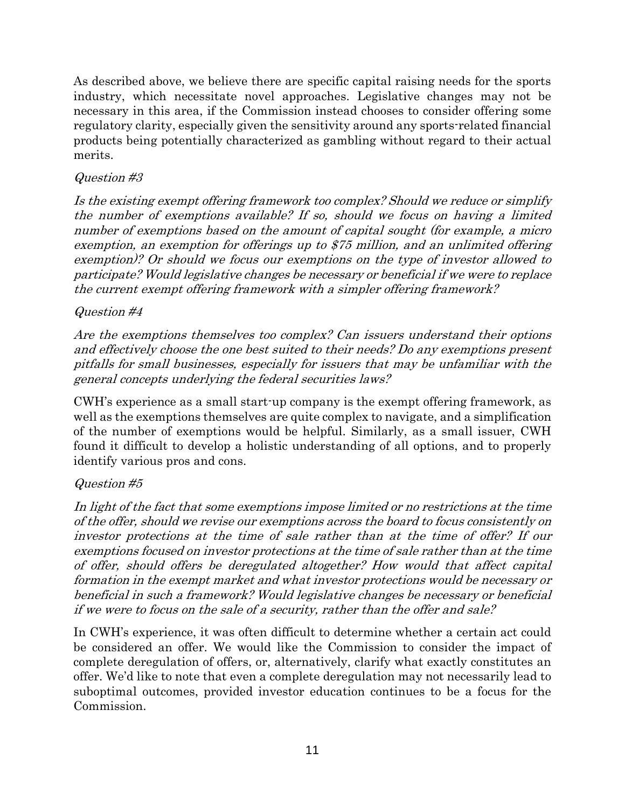As described above, we believe there are specific capital raising needs for the sports industry, which necessitate novel approaches. Legislative changes may not be necessary in this area, if the Commission instead chooses to consider offering some regulatory clarity, especially given the sensitivity around any sports-related financial products being potentially characterized as gambling without regard to their actual merits.

## Question #3

Is the existing exempt offering framework too complex? Should we reduce or simplify the number of exemptions available? If so, should we focus on having a limited number of exemptions based on the amount of capital sought (for example, a micro exemption, an exemption for offerings up to \$75 million, and an unlimited offering exemption)? Or should we focus our exemptions on the type of investor allowed to participate? Would legislative changes be necessary or beneficial if we were to replace the current exempt offering framework with a simpler offering framework?

## Question #4

Are the exemptions themselves too complex? Can issuers understand their options and effectively choose the one best suited to their needs? Do any exemptions present pitfalls for small businesses, especially for issuers that may be unfamiliar with the general concepts underlying the federal securities laws?

CWH's experience as a small start-up company is the exempt offering framework, as well as the exemptions themselves are quite complex to navigate, and a simplification of the number of exemptions would be helpful. Similarly, as a small issuer, CWH found it difficult to develop a holistic understanding of all options, and to properly identify various pros and cons.

# Question #5

In light of the fact that some exemptions impose limited or no restrictions at the time of the offer, should we revise our exemptions across the board to focus consistently on investor protections at the time of sale rather than at the time of offer? If our exemptions focused on investor protections at the time of sale rather than at the time of offer, should offers be deregulated altogether? How would that affect capital formation in the exempt market and what investor protections would be necessary or beneficial in such a framework? Would legislative changes be necessary or beneficial if we were to focus on the sale of a security, rather than the offer and sale?

In CWH's experience, it was often difficult to determine whether a certain act could be considered an offer. We would like the Commission to consider the impact of complete deregulation of offers, or, alternatively, clarify what exactly constitutes an offer. We'd like to note that even a complete deregulation may not necessarily lead to suboptimal outcomes, provided investor education continues to be a focus for the Commission.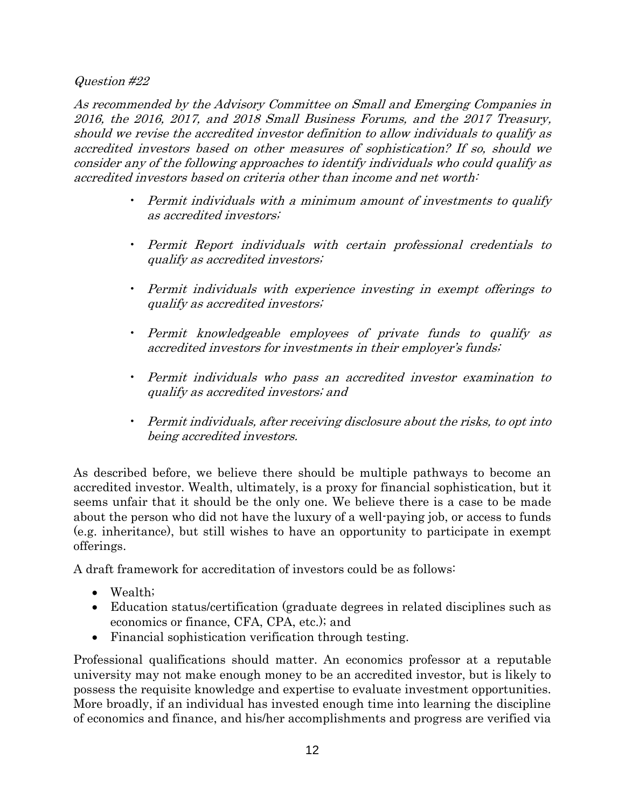Question #22

As recommended by the Advisory Committee on Small and Emerging Companies in 2016, the 2016, 2017, and 2018 Small Business Forums, and the 2017 Treasury, should we revise the accredited investor definition to allow individuals to qualify as accredited investors based on other measures of sophistication? If so, should we consider any of the following approaches to identify individuals who could qualify as accredited investors based on criteria other than income and net worth:

- Permit individuals with a minimum amount of investments to qualify as accredited investors;
- Permit Report individuals with certain professional credentials to qualify as accredited investors;
- Permit individuals with experience investing in exempt offerings to qualify as accredited investors;
- Permit knowledgeable employees of private funds to qualify as accredited investors for investments in their employer's funds;
- Permit individuals who pass an accredited investor examination to qualify as accredited investors; and
- Permit individuals, after receiving disclosure about the risks, to opt into being accredited investors.

As described before, we believe there should be multiple pathways to become an accredited investor. Wealth, ultimately, is a proxy for financial sophistication, but it seems unfair that it should be the only one. We believe there is a case to be made about the person who did not have the luxury of a well-paying job, or access to funds (e.g. inheritance), but still wishes to have an opportunity to participate in exempt offerings.

A draft framework for accreditation of investors could be as follows:

- Wealth;
- Education status/certification (graduate degrees in related disciplines such as economics or finance, CFA, CPA, etc.); and
- Financial sophistication verification through testing.

Professional qualifications should matter. An economics professor at a reputable university may not make enough money to be an accredited investor, but is likely to possess the requisite knowledge and expertise to evaluate investment opportunities. More broadly, if an individual has invested enough time into learning the discipline of economics and finance, and his/her accomplishments and progress are verified via